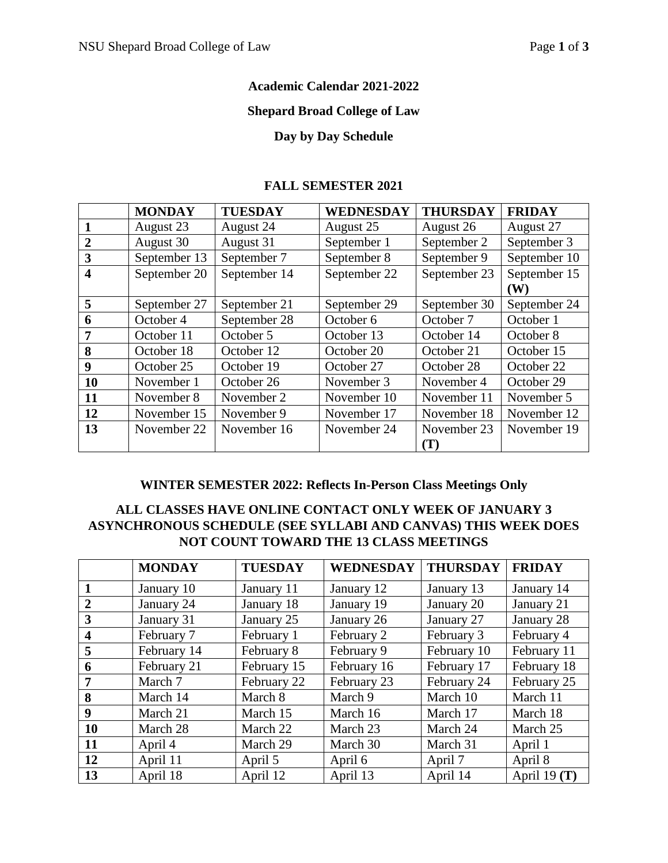### **Academic Calendar 2021-2022**

#### **Shepard Broad College of Law**

### **Day by Day Schedule**

#### **FALL SEMESTER 2021**

|                         | <b>MONDAY</b> | <b>TUESDAY</b> | <b>WEDNESDAY</b> | <b>THURSDAY</b> | <b>FRIDAY</b> |
|-------------------------|---------------|----------------|------------------|-----------------|---------------|
| $\mathbf{1}$            | August 23     | August 24      | August 25        | August 26       | August 27     |
| $\overline{2}$          | August 30     | August 31      | September 1      | September 2     | September 3   |
| 3                       | September 13  | September 7    | September 8      | September 9     | September 10  |
| $\overline{\mathbf{4}}$ | September 20  | September 14   | September 22     | September 23    | September 15  |
|                         |               |                |                  |                 | (W)           |
| 5                       | September 27  | September 21   | September 29     | September 30    | September 24  |
| 6                       | October 4     | September 28   | October 6        | October 7       | October 1     |
| 7                       | October 11    | October 5      | October 13       | October 14      | October 8     |
| 8                       | October 18    | October 12     | October 20       | October 21      | October 15    |
| 9                       | October 25    | October 19     | October 27       | October 28      | October 22    |
| 10                      | November 1    | October 26     | November 3       | November 4      | October 29    |
| 11                      | November 8    | November 2     | November 10      | November 11     | November 5    |
| 12                      | November 15   | November 9     | November 17      | November 18     | November 12   |
| 13                      | November 22   | November 16    | November 24      | November 23     | November 19   |
|                         |               |                |                  | T)              |               |

# **WINTER SEMESTER 2022: Reflects In-Person Class Meetings Only**

### **ALL CLASSES HAVE ONLINE CONTACT ONLY WEEK OF JANUARY 3 ASYNCHRONOUS SCHEDULE (SEE SYLLABI AND CANVAS) THIS WEEK DOES NOT COUNT TOWARD THE 13 CLASS MEETINGS**

|                         | <b>MONDAY</b> | <b>TUESDAY</b> | <b>WEDNESDAY</b> | <b>THURSDAY</b> | <b>FRIDAY</b>  |
|-------------------------|---------------|----------------|------------------|-----------------|----------------|
|                         | January 10    | January 11     | January 12       | January 13      | January 14     |
| $\overline{2}$          | January 24    | January 18     | January 19       | January 20      | January 21     |
| 3                       | January 31    | January 25     | January 26       | January 27      | January 28     |
| $\overline{\mathbf{4}}$ | February 7    | February 1     | February 2       | February 3      | February 4     |
| 5                       | February 14   | February 8     | February 9       | February 10     | February 11    |
| 6                       | February 21   | February 15    | February 16      | February 17     | February 18    |
| 7                       | March 7       | February 22    | February 23      | February 24     | February 25    |
| 8                       | March 14      | March 8        | March 9          | March 10        | March 11       |
| 9                       | March 21      | March 15       | March 16         | March 17        | March 18       |
| 10                      | March 28      | March 22       | March 23         | March 24        | March 25       |
| 11                      | April 4       | March 29       | March 30         | March 31        | April 1        |
| 12                      | April 11      | April 5        | April 6          | April 7         | April 8        |
| 13                      | April 18      | April 12       | April 13         | April 14        | April 19 $(T)$ |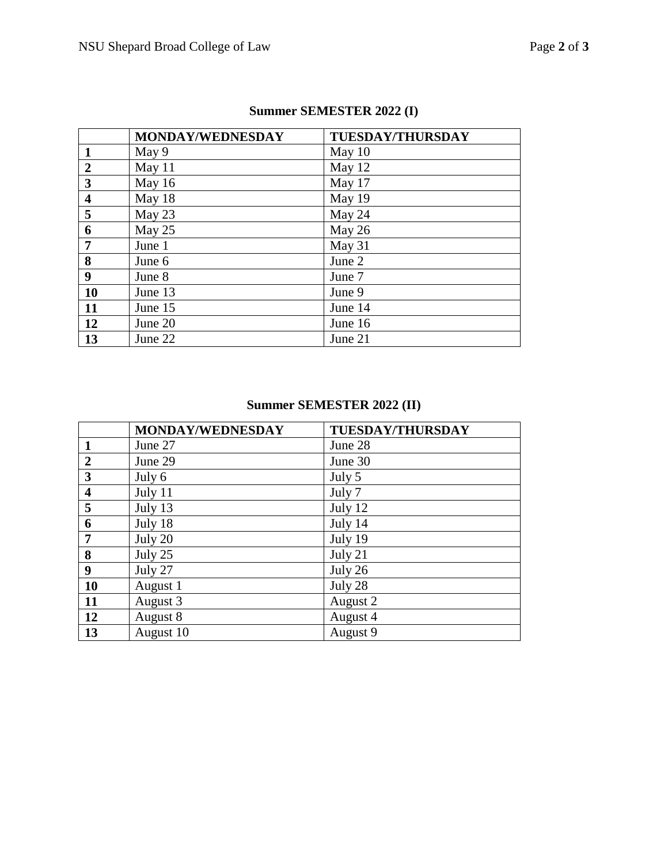|                         | MONDAY/WEDNESDAY | <b>TUESDAY/THURSDAY</b> |
|-------------------------|------------------|-------------------------|
| $\mathbf{1}$            | May 9            | May $10$                |
| $\overline{2}$          | May 11           | May 12                  |
| $\overline{\mathbf{3}}$ | May 16           | May 17                  |
| $\overline{\mathbf{4}}$ | May 18           | May 19                  |
| 5                       | May 23           | May 24                  |
| 6                       | May 25           | May 26                  |
| $\overline{7}$          | June 1           | May 31                  |
| 8                       | June 6           | June 2                  |
| 9                       | June 8           | June 7                  |
| 10                      | June 13          | June 9                  |
| 11                      | June 15          | June 14                 |
| 12                      | June 20          | June 16                 |
| 13                      | June 22          | June 21                 |

## **Summer SEMESTER 2022 (I)**

# **Summer SEMESTER 2022 (II)**

|                         | MONDAY/WEDNESDAY | <b>TUESDAY/THURSDAY</b> |
|-------------------------|------------------|-------------------------|
| $\mathbf{1}$            | June 27          | June 28                 |
| $\overline{2}$          | June 29          | June 30                 |
| $\overline{\mathbf{3}}$ | July 6           | July 5                  |
| $\overline{\mathbf{4}}$ | July 11          | July 7                  |
| 5                       | July 13          | July 12                 |
| 6                       | July 18          | July 14                 |
| $\overline{7}$          | July 20          | July 19                 |
| 8                       | July 25          | July 21                 |
| $\boldsymbol{9}$        | July 27          | July 26                 |
| 10                      | August 1         | July 28                 |
| <b>11</b>               | August 3         | August 2                |
| 12                      | August 8         | August 4                |
| 13                      | August 10        | August 9                |